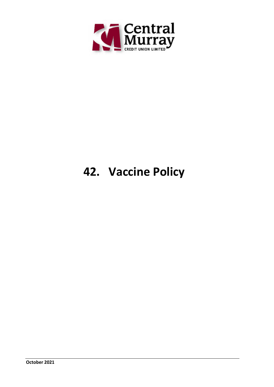

# **42. Vaccine Policy**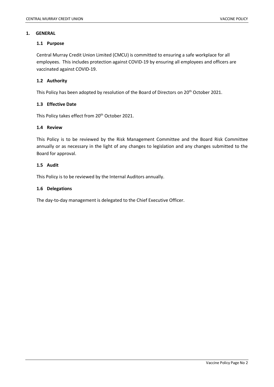#### **1. GENERAL**

#### **1.1 Purpose**

Central Murray Credit Union Limited (CMCU) is committed to ensuring a safe workplace for all employees. This includes protection against COVID-19 by ensuring all employees and officers are vaccinated against COVID-19.

#### **1.2 Authority**

This Policy has been adopted by resolution of the Board of Directors on 20th October 2021.

#### **1.3 Effective Date**

This Policy takes effect from 20<sup>th</sup> October 2021.

#### **1.4 Review**

This Policy is to be reviewed by the Risk Management Committee and the Board Risk Committee annually or as necessary in the light of any changes to legislation and any changes submitted to the Board for approval.

#### **1.5 Audit**

This Policy is to be reviewed by the Internal Auditors annually.

#### **1.6 Delegations**

The day-to-day management is delegated to the Chief Executive Officer.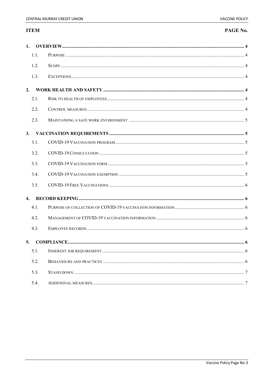# **ITEM**

# PAGE No.

| $\mathbf{1}$ .   |      |  |  |  |  |
|------------------|------|--|--|--|--|
|                  | 1.1. |  |  |  |  |
|                  | 1.2. |  |  |  |  |
|                  | 1.3. |  |  |  |  |
| 2.               |      |  |  |  |  |
|                  | 2.1. |  |  |  |  |
|                  | 2.2. |  |  |  |  |
|                  | 2.3. |  |  |  |  |
| 3.               |      |  |  |  |  |
|                  | 3.1. |  |  |  |  |
|                  | 3.2. |  |  |  |  |
|                  | 3.3. |  |  |  |  |
|                  | 3.4. |  |  |  |  |
|                  | 3.5. |  |  |  |  |
| $\overline{4}$ . |      |  |  |  |  |
|                  | 4.1. |  |  |  |  |
|                  | 4.2. |  |  |  |  |
|                  | 4.3. |  |  |  |  |
| 5.               |      |  |  |  |  |
|                  | 5.1. |  |  |  |  |
|                  | 5.2. |  |  |  |  |
|                  | 5.3. |  |  |  |  |
|                  | 5.4. |  |  |  |  |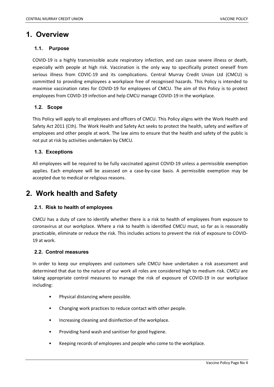# <span id="page-3-0"></span>**1. Overview**

# <span id="page-3-1"></span>**1.1. Purpose**

COVID-19 is a highly transmissible acute respiratory infection, and can cause severe illness or death, especially with people at high risk. Vaccination is the only way to specifically protect oneself from serious illness from COVIC-19 and its complications. Central Murray Credit Union Ltd (CMCU) is committed to providing employees a workplace free of recognised hazards. This Policy is intended to maximise vaccination rates for COVID-19 for employees of CMCU. The aim of this Policy is to protect employees from COVID-19 infection and help CMCU manage COVID-19 in the workplace.

# <span id="page-3-2"></span>**1.2. Scope**

This Policy will apply to all employees and officers of CMCU. This Policy aligns with the Work Health and Safety Act 2011 (Cth). The Work Health and Safety Act seeks to protect the health, safety and welfare of employees and other people at work. The law aims to ensure that the health and safety of the public is not put at risk by activities undertaken by CMCU.

# <span id="page-3-3"></span>**1.3. Exceptions**

All employees will be required to be fully vaccinated against COVID-19 unless a permissible exemption applies. Each employee will be assessed on a case-by-case basis. A permissible exemption may be accepted due to medical or religious reasons.

# <span id="page-3-4"></span>**2. Work health and Safety**

# <span id="page-3-5"></span>**2.1. Risk to health of employees**

CMCU has a duty of care to identify whether there is a risk to health of employees from exposure to coronavirus at our workplace. Where a risk to health is identified CMCU must, so far as is reasonably practicable, eliminate or reduce the risk. This includes actions to prevent the risk of exposure to COVID-19 at work.

## <span id="page-3-6"></span>**2.2. Control measures**

In order to keep our employees and customers safe CMCU have undertaken a risk assessment and determined that due to the nature of our work all roles are considered high to medium risk. CMCU are taking appropriate control measures to manage the risk of exposure of COVID-19 in our workplace including:

- Physical distancing where possible.
- Changing work practices to reduce contact with other people.
- Increasing cleaning and disinfection of the workplace.
- Providing hand wash and sanitiser for good hygiene.
- Keeping records of employees and people who come to the workplace.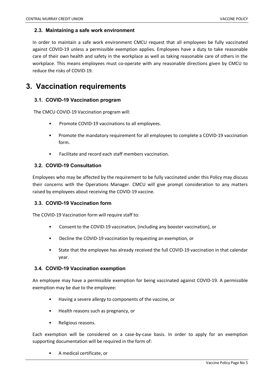## <span id="page-4-0"></span>**2.3. Maintaining a safe work environment**

In order to maintain a safe work environment CMCU request that all employees be fully vaccinated against COVID-19 unless a permissible exemption applies. Employees have a duty to take reasonable care of their own health and safety in the workplace as well as taking reasonable care of others in the workplace. This means employees must co-operate with any reasonable directions given by CMCU to reduce the risks of COVID-19.

# <span id="page-4-1"></span>**3. Vaccination requirements**

# <span id="page-4-2"></span>**3.1. COVID-19 Vaccination program**

The CMCU COVID-19 Vaccination program will:

- Promote COVID-19 vaccinations to all employees.
- Promote the mandatory requirement for all employees to complete a COVID-19 vaccination form.
- Facilitate and record each staff members vaccination.

# <span id="page-4-3"></span>**3.2. COVID-19 Consultation**

Employees who may be affected by the requirement to be fully vaccinated under this Policy may discuss their concerns with the Operations Manager. CMCU will give prompt consideration to any matters raised by employees about receiving the COVID-19 vaccine.

# <span id="page-4-4"></span>**3.3. COVID-19 Vaccination form**

The COVID-19 Vaccination form will require staff to:

- Consent to the COVID-19 vaccination, (including any booster vaccination), or
- Decline the COVID-19 vaccination by requesting an exemption, or
- State that the employee has already received the full COVID-19 vaccination in that calendar year.

#### <span id="page-4-5"></span>**3.4. COVID-19 Vaccination exemption**

An employee may have a permissible exemption for being vaccinated against COVID-19. A permissible exemption may be due to the employee:

- Having a severe allergy to components of the vaccine, or
- Health reasons such as pregnancy, or
- Religious reasons.

Each exemption will be considered on a case-by-case basis. In order to apply for an exemption supporting documentation will be required in the form of:

• A medical certificate, or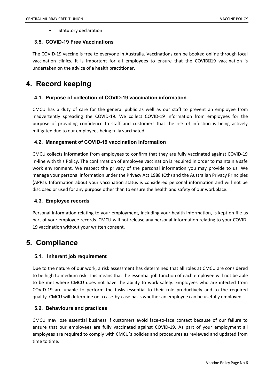Statutory declaration

## <span id="page-5-0"></span>**3.5. COVID-19 Free Vaccinations**

The COVID-19 vaccine is free to everyone in Australia. Vaccinations can be booked online through local vaccination clinics. It is important for all employees to ensure that the COVID219 vaccination is undertaken on the advice of a health practitioner.

# <span id="page-5-1"></span>**4. Record keeping**

# <span id="page-5-2"></span>**4.1. Purpose of collection of COVID-19 vaccination information**

CMCU has a duty of care for the general public as well as our staff to prevent an employee from inadvertently spreading the COVID-19. We collect COVID-19 information from employees for the purpose of providing confidence to staff and customers that the risk of infection is being actively mitigated due to our employees being fully vaccinated.

# <span id="page-5-3"></span>**4.2. Management of COVID-19 vaccination information**

CMCU collects information from employees to confirm that they are fully vaccinated against COVID-19 in-line with this Policy. The confirmation of employee vaccination is required in order to maintain a safe work environment. We respect the privacy of the personal information you may provide to us. We manage your personal information under the Privacy Act 1988 (Cth) and the Australian Privacy Principles (APPs). Information about your vaccination status is considered personal information and will not be disclosed or used for any purpose other than to ensure the health and safety of our workplace.

#### <span id="page-5-4"></span>**4.3. Employee records**

Personal information relating to your employment, including your health information, is kept on file as part of your employee records. CMCU will not release any personal information relating to your COVID-19 vaccination without your written consent.

# <span id="page-5-5"></span>**5. Compliance**

#### <span id="page-5-6"></span>**5.1. Inherent job requirement**

Due to the nature of our work, a risk assessment has determined that all roles at CMCU are considered to be high to medium risk. This means that the essential job function of each employee will not be able to be met where CMCU does not have the ability to work safely. Employees who are infected from COVID-19 are unable to perform the tasks essential to their role productively and to the required quality. CMCU will determine on a case-by-case basis whether an employee can be usefully employed.

#### <span id="page-5-7"></span>**5.2. Behaviours and practices**

CMCU may lose essential business if customers avoid face-to-face contact because of our failure to ensure that our employees are fully vaccinated against COVID-19. As part of your employment all employees are required to comply with CMCU's policies and procedures as reviewed and updated from time to time.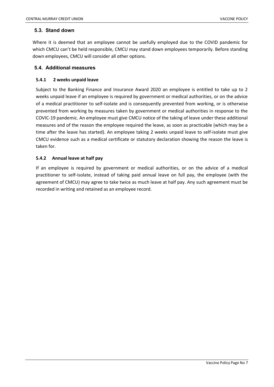# <span id="page-6-0"></span>**5.3. Stand down**

Where it is deemed that an employee cannot be usefully employed due to the COVID pandemic for which CMCU can't be held responsible, CMCU may stand down employees temporarily. Before standing down employees, CMCU will consider all other options.

# <span id="page-6-1"></span>**5.4. Additional measures**

# **5.4.1 2 weeks unpaid leave**

Subject to the Banking Finance and Insurance Award 2020 an employee is entitled to take up to 2 weeks unpaid leave if an employee is required by government or medical authorities, or on the advice of a medical practitioner to self-isolate and is consequently prevented from working, or is otherwise prevented from working by measures taken by government or medical authorities in response to the COVIC-19 pandemic. An employee must give CMCU notice of the taking of leave under these additional measures and of the reason the employee required the leave, as soon as practicable (which may be a time after the leave has started). An employee taking 2 weeks unpaid leave to self-isolate must give CMCU evidence such as a medical certificate or statutory declaration showing the reason the leave is taken for.

# **5.4.2 Annual leave at half pay**

If an employee is required by government or medical authorities, or on the advice of a medical practitioner to self-isolate, instead of taking paid annual leave on full pay, the employee (with the agreement of CMCU) may agree to take twice as much leave at half pay. Any such agreement must be recorded in writing and retained as an employee record.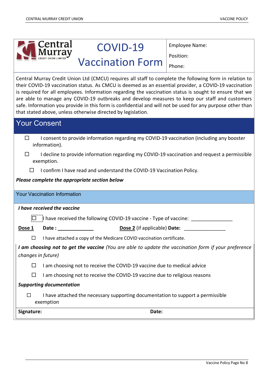| Central                                                                                                                                                                                                                                                                                                                                                                                                                                                                                                                                                                                                     | COVID-19                                                                                     | Employee Name: |  |  |  |  |
|-------------------------------------------------------------------------------------------------------------------------------------------------------------------------------------------------------------------------------------------------------------------------------------------------------------------------------------------------------------------------------------------------------------------------------------------------------------------------------------------------------------------------------------------------------------------------------------------------------------|----------------------------------------------------------------------------------------------|----------------|--|--|--|--|
|                                                                                                                                                                                                                                                                                                                                                                                                                                                                                                                                                                                                             | <b>Vaccination Form</b>                                                                      | Position:      |  |  |  |  |
|                                                                                                                                                                                                                                                                                                                                                                                                                                                                                                                                                                                                             |                                                                                              | Phone:         |  |  |  |  |
| Central Murray Credit Union Ltd (CMCU) requires all staff to complete the following form in relation to<br>their COVID-19 vaccination status. As CMCU is deemed as an essential provider, a COVID-19 vaccination<br>is required for all employees. Information regarding the vaccination status is sought to ensure that we<br>are able to manage any COVID-19 outbreaks and develop measures to keep our staff and customers<br>safe. Information you provide in this form is confidential and will not be used for any purpose other than<br>that stated above, unless otherwise directed by legislation. |                                                                                              |                |  |  |  |  |
| <b>Your Consent</b>                                                                                                                                                                                                                                                                                                                                                                                                                                                                                                                                                                                         |                                                                                              |                |  |  |  |  |
| $\Box$<br>information).                                                                                                                                                                                                                                                                                                                                                                                                                                                                                                                                                                                     | I consent to provide information regarding my COVID-19 vaccination (including any booster    |                |  |  |  |  |
| □<br>exemption.                                                                                                                                                                                                                                                                                                                                                                                                                                                                                                                                                                                             | I decline to provide information regarding my COVID-19 vaccination and request a permissible |                |  |  |  |  |
| ⊔                                                                                                                                                                                                                                                                                                                                                                                                                                                                                                                                                                                                           | I confirm I have read and understand the COVID-19 Vaccination Policy.                        |                |  |  |  |  |
| Please complete the appropriate section below                                                                                                                                                                                                                                                                                                                                                                                                                                                                                                                                                               |                                                                                              |                |  |  |  |  |
| <b>Your Vaccination Information</b>                                                                                                                                                                                                                                                                                                                                                                                                                                                                                                                                                                         |                                                                                              |                |  |  |  |  |
| I have received the vaccine                                                                                                                                                                                                                                                                                                                                                                                                                                                                                                                                                                                 |                                                                                              |                |  |  |  |  |
|                                                                                                                                                                                                                                                                                                                                                                                                                                                                                                                                                                                                             | I have received the following COVID-19 vaccine - Type of vaccine:                            |                |  |  |  |  |
| Dose 1<br>Date: $\sqrt{ }$                                                                                                                                                                                                                                                                                                                                                                                                                                                                                                                                                                                  | Dose 2 (if applicable) Date:                                                                 |                |  |  |  |  |
| □                                                                                                                                                                                                                                                                                                                                                                                                                                                                                                                                                                                                           | I have attached a copy of the Medicare COVID vaccination certificate.                        |                |  |  |  |  |
| I am choosing not to get the vaccine (You are able to update the vaccination form if your preference<br>changes in future)                                                                                                                                                                                                                                                                                                                                                                                                                                                                                  |                                                                                              |                |  |  |  |  |
| $\Box$                                                                                                                                                                                                                                                                                                                                                                                                                                                                                                                                                                                                      | I am choosing not to receive the COVID-19 vaccine due to medical advice                      |                |  |  |  |  |
| $\Box$                                                                                                                                                                                                                                                                                                                                                                                                                                                                                                                                                                                                      | I am choosing not to receive the COVID-19 vaccine due to religious reasons                   |                |  |  |  |  |
|                                                                                                                                                                                                                                                                                                                                                                                                                                                                                                                                                                                                             | <b>Supporting documentation</b>                                                              |                |  |  |  |  |
| $\Box$<br>exemption                                                                                                                                                                                                                                                                                                                                                                                                                                                                                                                                                                                         | I have attached the necessary supporting documentation to support a permissible              |                |  |  |  |  |
|                                                                                                                                                                                                                                                                                                                                                                                                                                                                                                                                                                                                             |                                                                                              |                |  |  |  |  |